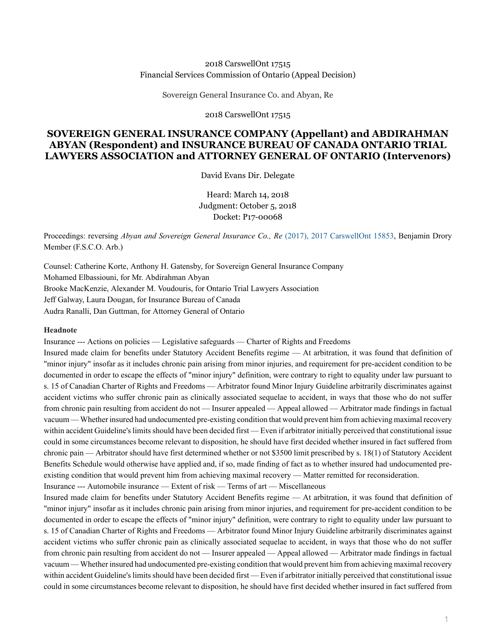#### 2018 CarswellOnt 17515 Financial Services Commission of Ontario (Appeal Decision)

Sovereign General Insurance Co. and Abyan, Re

2018 CarswellOnt 17515

# **SOVEREIGN GENERAL INSURANCE COMPANY (Appellant) and ABDIRAHMAN ABYAN (Respondent) and INSURANCE BUREAU OF CANADA ONTARIO TRIAL LAWYERS ASSOCIATION and ATTORNEY GENERAL OF ONTARIO (Intervenors)**

David Evans Dir. Delegate

Heard: March 14, 2018 Judgment: October 5, 2018 Docket: P17-00068

Proceedings: reversing *Abyan and Sovereign General Insurance Co., Re* [\(2017\), 2017 CarswellOnt 15853](http://nextcanada.westlaw.com/Link/Document/FullText?findType=Y&pubNum=6407&serNum=2042882306&originationContext=document&transitionType=DocumentItem&vr=3.0&rs=cblt1.0&contextData=(sc.Search)), Benjamin Drory Member (F.S.C.O. Arb.)

Counsel: Catherine Korte, Anthony H. Gatensby, for Sovereign General Insurance Company Mohamed Elbassiouni, for Mr. Abdirahman Abyan Brooke MacKenzie, Alexander M. Voudouris, for Ontario Trial Lawyers Association Jeff Galway, Laura Dougan, for Insurance Bureau of Canada Audra Ranalli, Dan Guttman, for Attorney General of Ontario

#### **Headnote**

Insurance --- Actions on policies — Legislative safeguards — Charter of Rights and Freedoms

Insured made claim for benefits under Statutory Accident Benefits regime — At arbitration, it was found that definition of "minor injury" insofar as it includes chronic pain arising from minor injuries, and requirement for pre-accident condition to be documented in order to escape the effects of "minor injury" definition, were contrary to right to equality under law pursuant to s. 15 of Canadian Charter of Rights and Freedoms — Arbitrator found Minor Injury Guideline arbitrarily discriminates against accident victims who suffer chronic pain as clinically associated sequelae to accident, in ways that those who do not suffer from chronic pain resulting from accident do not — Insurer appealed — Appeal allowed — Arbitrator made findings in factual vacuum — Whether insured had undocumented pre-existing condition that would prevent him from achieving maximal recovery within accident Guideline's limits should have been decided first — Even if arbitrator initially perceived that constitutional issue could in some circumstances become relevant to disposition, he should have first decided whether insured in fact suffered from chronic pain — Arbitrator should have first determined whether or not \$3500 limit prescribed by s. 18(1) of Statutory Accident Benefits Schedule would otherwise have applied and, if so, made finding of fact as to whether insured had undocumented preexisting condition that would prevent him from achieving maximal recovery — Matter remitted for reconsideration.

Insurance --- Automobile insurance — Extent of risk — Terms of art — Miscellaneous

Insured made claim for benefits under Statutory Accident Benefits regime — At arbitration, it was found that definition of "minor injury" insofar as it includes chronic pain arising from minor injuries, and requirement for pre-accident condition to be documented in order to escape the effects of "minor injury" definition, were contrary to right to equality under law pursuant to s. 15 of Canadian Charter of Rights and Freedoms — Arbitrator found Minor Injury Guideline arbitrarily discriminates against accident victims who suffer chronic pain as clinically associated sequelae to accident, in ways that those who do not suffer from chronic pain resulting from accident do not — Insurer appealed — Appeal allowed — Arbitrator made findings in factual vacuum — Whether insured had undocumented pre-existing condition that would prevent him from achieving maximal recovery within accident Guideline's limits should have been decided first — Even if arbitrator initially perceived that constitutional issue could in some circumstances become relevant to disposition, he should have first decided whether insured in fact suffered from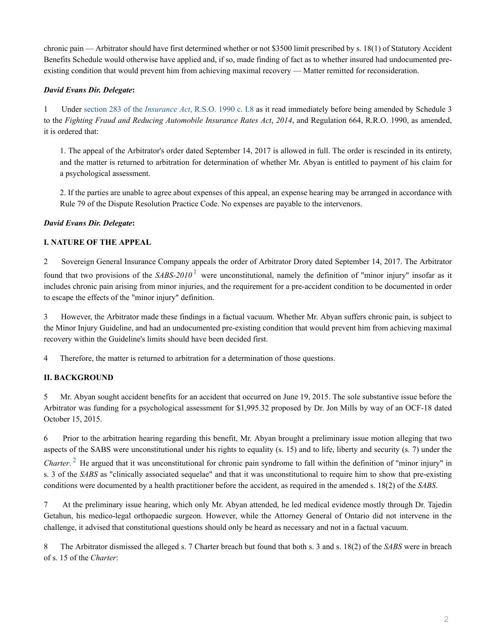chronic pain — Arbitrator should have first determined whether or not \$3500 limit prescribed by s. 18(1) of Statutory Accident Benefits Schedule would otherwise have applied and, if so, made finding of fact as to whether insured had undocumented preexisting condition that would prevent him from achieving maximal recovery — Matter remitted for reconsideration.

## *David Evans Dir. Delegate***:**

1 Under section 283 of the *Insurance Act*[, R.S.O. 1990 c. I.8](http://nextcanada.westlaw.com/Link/Document/FullText?findType=Y&serNum=0280379760&pubNum=135313&originatingDoc=I78c6a44f3fde67f7e0540010e03eefe2&refType=IG&docFamilyGuid=I539ed562f46611d99f28ffa0ae8c2575&targetPreference=DocLanguage%3aEN&originationContext=document&vr=3.0&rs=cblt1.0&transitionType=DocumentItem&contextData=(sc.Search)) as it read immediately before being amended by Schedule 3 to the *Fighting Fraud and Reducing Automobile Insurance Rates Act*, *2014*, and Regulation 664, R.R.O. 1990, as amended, it is ordered that:

1. The appeal of the Arbitrator's order dated September 14, 2017 is allowed in full. The order is rescinded in its entirety, and the matter is returned to arbitration for determination of whether Mr. Abyan is entitled to payment of his claim for a psychological assessment.

2. If the parties are unable to agree about expenses of this appeal, an expense hearing may be arranged in accordance with Rule 79 of the Dispute Resolution Practice Code. No expenses are payable to the intervenors.

## *David Evans Dir. Delegate***:**

## **I. NATURE OF THE APPEAL**

<span id="page-1-0"></span>2 Sovereign General Insurance Company appeals the order of Arbitrator Drory dated September 14, 2017. The Arbitrator found that two provisions of the SABS-20[1](#page-4-0)0<sup>1</sup> were unconstitutional, namely the definition of "minor injury" insofar as it includes chronic pain arising from minor injuries, and the requirement for a pre-accident condition to be documented in order to escape the effects of the "minor injury" definition.

3 However, the Arbitrator made these findings in a factual vacuum. Whether Mr. Abyan suffers chronic pain, is subject to the Minor Injury Guideline, and had an undocumented pre-existing condition that would prevent him from achieving maximal recovery within the Guideline's limits should have been decided first.

4 Therefore, the matter is returned to arbitration for a determination of those questions.

# **II. BACKGROUND**

5 Mr. Abyan sought accident benefits for an accident that occurred on June 19, 2015. The sole substantive issue before the Arbitrator was funding for a psychological assessment for \$1,995.32 proposed by Dr. Jon Mills by way of an OCF-18 dated October 15, 2015.

6 Prior to the arbitration hearing regarding this benefit, Mr. Abyan brought a preliminary issue motion alleging that two aspects of the SABS were unconstitutional under his rights to equality (s. 15) and to life, liberty and security (s. 7) under the

<span id="page-1-1"></span>*Charter*.<sup>[2](#page-4-1)</sup> He argued that it was unconstitutional for chronic pain syndrome to fall within the definition of "minor injury" in s. 3 of the *SABS* as "clinically associated sequelae" and that it was unconstitutional to require him to show that pre-existing conditions were documented by a health practitioner before the accident, as required in the amended s. 18(2) of the *SABS*.

7 At the preliminary issue hearing, which only Mr. Abyan attended, he led medical evidence mostly through Dr. Tajedin Getahun, his medico-legal orthopaedic surgeon. However, while the Attorney General of Ontario did not intervene in the challenge, it advised that constitutional questions should only be heard as necessary and not in a factual vacuum.

8 The Arbitrator dismissed the alleged s. 7 Charter breach but found that both s. 3 and s. 18(2) of the *SABS* were in breach of s. 15 of the *Charter*: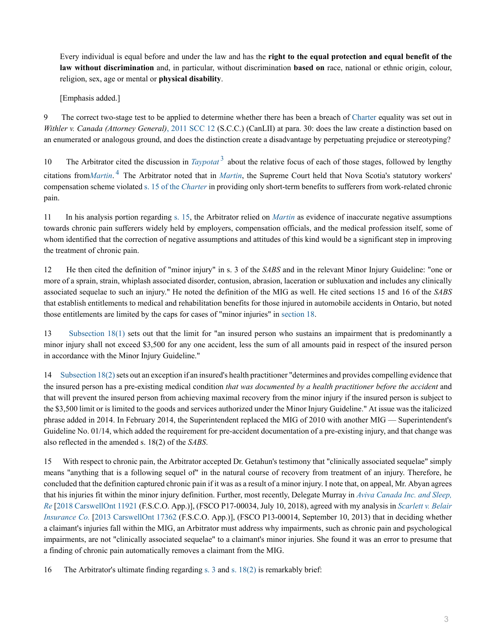Every individual is equal before and under the law and has the **right to the equal protection and equal benefit of the law without discrimination** and, in particular, without discrimination **based on** race, national or ethnic origin, colour, religion, sex, age or mental or **physical disability**.

<span id="page-2-0"></span>[Emphasis added.]

9 The correct two-stage test to be applied to determine whether there has been a breach of [Charter](http://nextcanada.westlaw.com/Link/Document/FullText?findType=Y&serNum=0280811943&pubNum=134158&originatingDoc=I78c6a44f3fde67f7e0540010e03eefe2&refType=IG&docFamilyGuid=I023ef083f9bb11d99f28ffa0ae8c2575&targetPreference=DocLanguage%3aEN&originationContext=document&vr=3.0&rs=cblt1.0&transitionType=DocumentItem&contextData=(sc.Search)) equality was set out in *Withler v. Canada (Attorney General)*[, 2011 SCC 12](http://nextcanada.westlaw.com/Link/Document/FullText?findType=Y&pubNum=6407&serNum=2024725367&originationContext=document&transitionType=DocumentItem&vr=3.0&rs=cblt1.0&contextData=(sc.Search)) (S.C.C.) (CanLII) at para. 30: does the law create a distinction based on an enumerated or analogous ground, and does the distinction create a disadvantage by perpetuating prejudice or stereotyping?

<span id="page-2-1"></span>10 The Arbitrator cited the discussion in *[Taypotat](http://nextcanada.westlaw.com/Link/Document/FullText?findType=Y&pubNum=6407&serNum=2036354078&originationContext=document&transitionType=DocumentItem&vr=3.0&rs=cblt1.0&contextData=(sc.Search))*<sup>[3](#page-4-2)</sup> about the relative focus of each of those stages, followed by lengthy citations from*[Martin](http://nextcanada.westlaw.com/Link/Document/FullText?findType=Y&pubNum=6407&serNum=2003652346&originationContext=document&transitionType=DocumentItem&vr=3.0&rs=cblt1.0&contextData=(sc.Search))*. [4](#page-4-3) The Arbitrator noted that in *[Martin](http://nextcanada.westlaw.com/Link/Document/FullText?findType=Y&pubNum=6407&serNum=2003652346&originationContext=document&transitionType=DocumentItem&vr=3.0&rs=cblt1.0&contextData=(sc.Search))*, the Supreme Court held that Nova Scotia's statutory workers' compensation scheme violated [s. 15 of the](http://nextcanada.westlaw.com/Link/Document/FullText?findType=Y&serNum=0280688177&pubNum=134158&originatingDoc=I78c6a44f3fde67f7e0540010e03eefe2&refType=IG&docFamilyGuid=Ibdc73178f4e011d99f28ffa0ae8c2575&targetPreference=DocLanguage%3aEN&originationContext=document&vr=3.0&rs=cblt1.0&transitionType=DocumentItem&contextData=(sc.Search)) *Charter* in providing only short-term benefits to sufferers from work-related chronic pain.

11 In his analysis portion regarding [s. 15](http://nextcanada.westlaw.com/Link/Document/FullText?findType=Y&serNum=0280688177&pubNum=134158&originatingDoc=I78c6a44f3fde67f7e0540010e03eefe2&refType=IG&docFamilyGuid=Ibdc73178f4e011d99f28ffa0ae8c2575&targetPreference=DocLanguage%3aEN&originationContext=document&vr=3.0&rs=cblt1.0&transitionType=DocumentItem&contextData=(sc.Search)), the Arbitrator relied on *[Martin](http://nextcanada.westlaw.com/Link/Document/FullText?findType=Y&pubNum=6407&serNum=2003652346&originationContext=document&transitionType=DocumentItem&vr=3.0&rs=cblt1.0&contextData=(sc.Search))* as evidence of inaccurate negative assumptions towards chronic pain sufferers widely held by employers, compensation officials, and the medical profession itself, some of whom identified that the correction of negative assumptions and attitudes of this kind would be a significant step in improving the treatment of chronic pain.

12 He then cited the definition of "minor injury" in s. 3 of the *SABS* and in the relevant Minor Injury Guideline: "one or more of a sprain, strain, whiplash associated disorder, contusion, abrasion, laceration or subluxation and includes any clinically associated sequelae to such an injury." He noted the definition of the MIG as well. He cited sections 15 and 16 of the *SABS* that establish entitlements to medical and rehabilitation benefits for those injured in automobile accidents in Ontario, but noted those entitlements are limited by the caps for cases of "minor injuries" in [section 18](http://nextcanada.westlaw.com/Link/Document/FullText?findType=Y&serNum=0280688180&pubNum=134158&originatingDoc=I78c6a44f3fde67f7e0540010e03eefe2&refType=IG&docFamilyGuid=Ibdc7317af4e011d99f28ffa0ae8c2575&targetPreference=DocLanguage%3aEN&originationContext=document&vr=3.0&rs=cblt1.0&transitionType=DocumentItem&contextData=(sc.Search)).

13 [Subsection 18\(1\)](http://nextcanada.westlaw.com/Link/Document/FullText?findType=Y&serNum=0280688180&pubNum=134158&originatingDoc=I78c6a44f3fde67f7e0540010e03eefe2&refType=IG&docFamilyGuid=Ibdc7317af4e011d99f28ffa0ae8c2575&targetPreference=DocLanguage%3aEN&originationContext=document&vr=3.0&rs=cblt1.0&transitionType=DocumentItem&contextData=(sc.Search)#co_pp_AA7AD2CBA49F3374E0540010E03EEFE0) sets out that the limit for "an insured person who sustains an impairment that is predominantly a minor injury shall not exceed \$3,500 for any one accident, less the sum of all amounts paid in respect of the insured person in accordance with the Minor Injury Guideline."

14 [Subsection 18\(2\)](http://nextcanada.westlaw.com/Link/Document/FullText?findType=Y&serNum=0280688180&pubNum=134158&originatingDoc=I78c6a44f3fde67f7e0540010e03eefe2&refType=IG&docFamilyGuid=Ibdc7317af4e011d99f28ffa0ae8c2575&targetPreference=DocLanguage%3aEN&originationContext=document&vr=3.0&rs=cblt1.0&transitionType=DocumentItem&contextData=(sc.Search)#co_pp_AA7AD2D14BE0337CE0540010E03EEFE0) sets out an exception if an insured's health practitioner "determines and provides compelling evidence that the insured person has a pre-existing medical condition *that was documented by a health practitioner before the accident* and that will prevent the insured person from achieving maximal recovery from the minor injury if the insured person is subject to the \$3,500 limit or is limited to the goods and services authorized under the Minor Injury Guideline." At issue was the italicized phrase added in 2014. In February 2014, the Superintendent replaced the MIG of 2010 with another MIG — Superintendent's Guideline No. 01/14, which added the requirement for pre-accident documentation of a pre-existing injury, and that change was also reflected in the amended s. 18(2) of the *SABS*.

15 With respect to chronic pain, the Arbitrator accepted Dr. Getahun's testimony that "clinically associated sequelae" simply means "anything that is a following sequel of" in the natural course of recovery from treatment of an injury. Therefore, he concluded that the definition captured chronic pain if it was as a result of a minor injury. I note that, on appeal, Mr. Abyan agrees that his injuries fit within the minor injury definition. Further, most recently, Delegate Murray in *[Aviva Canada Inc. and Sleep,](http://nextcanada.westlaw.com/Link/Document/FullText?findType=Y&pubNum=6407&serNum=2045080645&originationContext=document&transitionType=DocumentItem&vr=3.0&rs=cblt1.0&contextData=(sc.Search)) [Re](http://nextcanada.westlaw.com/Link/Document/FullText?findType=Y&pubNum=6407&serNum=2045080645&originationContext=document&transitionType=DocumentItem&vr=3.0&rs=cblt1.0&contextData=(sc.Search))* [\[2018 CarswellOnt 11921](http://nextcanada.westlaw.com/Link/Document/FullText?findType=Y&pubNum=6407&serNum=2045080645&originationContext=document&transitionType=DocumentItem&vr=3.0&rs=cblt1.0&contextData=(sc.Search)) (F.S.C.O. App.)], (FSCO P17-00034, July 10, 2018), agreed with my analysis in *[Scarlett v. Belair](http://nextcanada.westlaw.com/Link/Document/FullText?findType=Y&pubNum=6407&serNum=2032298833&originationContext=document&transitionType=DocumentItem&vr=3.0&rs=cblt1.0&contextData=(sc.Search)) [Insurance Co.](http://nextcanada.westlaw.com/Link/Document/FullText?findType=Y&pubNum=6407&serNum=2032298833&originationContext=document&transitionType=DocumentItem&vr=3.0&rs=cblt1.0&contextData=(sc.Search))* [\[2013 CarswellOnt 17362](http://nextcanada.westlaw.com/Link/Document/FullText?findType=Y&pubNum=6407&serNum=2032298833&originationContext=document&transitionType=DocumentItem&vr=3.0&rs=cblt1.0&contextData=(sc.Search)) (F.S.C.O. App.)], (FSCO P13-00014, September 10, 2013) that in deciding whether a claimant's injuries fall within the MIG, an Arbitrator must address why impairments, such as chronic pain and psychological impairments, are not "clinically associated sequelae" to a claimant's minor injuries. She found it was an error to presume that a finding of chronic pain automatically removes a claimant from the MIG.

16 The Arbitrator's ultimate finding regarding [s. 3](http://nextcanada.westlaw.com/Link/Document/FullText?findType=Y&serNum=0280688165&pubNum=134158&originatingDoc=I78c6a44f3fde67f7e0540010e03eefe2&refType=IG&docFamilyGuid=Ibdc73171f4e011d99f28ffa0ae8c2575&targetPreference=DocLanguage%3aEN&originationContext=document&vr=3.0&rs=cblt1.0&transitionType=DocumentItem&contextData=(sc.Search)) and [s. 18\(2\)](http://nextcanada.westlaw.com/Link/Document/FullText?findType=Y&serNum=0280688180&pubNum=134158&originatingDoc=I78c6a44f3fde67f7e0540010e03eefe2&refType=IG&docFamilyGuid=Ibdc7317af4e011d99f28ffa0ae8c2575&targetPreference=DocLanguage%3aEN&originationContext=document&vr=3.0&rs=cblt1.0&transitionType=DocumentItem&contextData=(sc.Search)#co_pp_AA7AD2D14BE0337CE0540010E03EEFE0) is remarkably brief: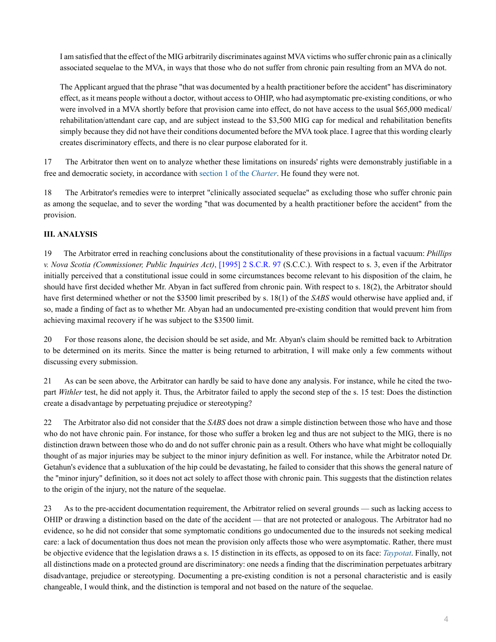I am satisfied that the effect of the MIG arbitrarily discriminates against MVA victims who suffer chronic pain as a clinically associated sequelae to the MVA, in ways that those who do not suffer from chronic pain resulting from an MVA do not.

The Applicant argued that the phrase "that was documented by a health practitioner before the accident" has discriminatory effect, as it means people without a doctor, without access to OHIP, who had asymptomatic pre-existing conditions, or who were involved in a MVA shortly before that provision came into effect, do not have access to the usual \$65,000 medical/ rehabilitation/attendant care cap, and are subject instead to the \$3,500 MIG cap for medical and rehabilitation benefits simply because they did not have their conditions documented before the MVA took place. I agree that this wording clearly creates discriminatory effects, and there is no clear purpose elaborated for it.

17 The Arbitrator then went on to analyze whether these limitations on insureds' rights were demonstrably justifiable in a free and democratic society, in accordance with [section 1 of the](http://nextcanada.westlaw.com/Link/Document/FullText?findType=Y&serNum=0280688163&pubNum=134158&originatingDoc=I78c6a44f3fde67f7e0540010e03eefe2&refType=IG&docFamilyGuid=Ibdc73170f4e011d99f28ffa0ae8c2575&targetPreference=DocLanguage%3aEN&originationContext=document&vr=3.0&rs=cblt1.0&transitionType=DocumentItem&contextData=(sc.Search)) *Charter*. He found they were not.

18 The Arbitrator's remedies were to interpret "clinically associated sequelae" as excluding those who suffer chronic pain as among the sequelae, and to sever the wording "that was documented by a health practitioner before the accident" from the provision.

# **III. ANALYSIS**

19 The Arbitrator erred in reaching conclusions about the constitutionality of these provisions in a factual vacuum: *Phillips v. Nova Scotia (Commissioner, Public Inquiries Act)*, [1995] 2 S.C.R. 97 (S.C.C.). With respect to s. 3, even if the Arbitrator initially perceived that a constitutional issue could in some circumstances become relevant to his disposition of the claim, he should have first decided whether Mr. Abyan in fact suffered from chronic pain. With respect to s. 18(2), the Arbitrator should have first determined whether or not the \$3500 limit prescribed by s. 18(1) of the *SABS* would otherwise have applied and, if so, made a finding of fact as to whether Mr. Abyan had an undocumented pre-existing condition that would prevent him from achieving maximal recovery if he was subject to the \$3500 limit.

20 For those reasons alone, the decision should be set aside, and Mr. Abyan's claim should be remitted back to Arbitration to be determined on its merits. Since the matter is being returned to arbitration, I will make only a few comments without discussing every submission.

21 As can be seen above, the Arbitrator can hardly be said to have done any analysis. For instance, while he cited the twopart *Withler* test, he did not apply it. Thus, the Arbitrator failed to apply the second step of the s. 15 test: Does the distinction create a disadvantage by perpetuating prejudice or stereotyping?

22 The Arbitrator also did not consider that the *SABS* does not draw a simple distinction between those who have and those who do not have chronic pain. For instance, for those who suffer a broken leg and thus are not subject to the MIG, there is no distinction drawn between those who do and do not suffer chronic pain as a result. Others who have what might be colloquially thought of as major injuries may be subject to the minor injury definition as well. For instance, while the Arbitrator noted Dr. Getahun's evidence that a subluxation of the hip could be devastating, he failed to consider that this shows the general nature of the "minor injury" definition, so it does not act solely to affect those with chronic pain. This suggests that the distinction relates to the origin of the injury, not the nature of the sequelae.

23 As to the pre-accident documentation requirement, the Arbitrator relied on several grounds — such as lacking access to OHIP or drawing a distinction based on the date of the accident — that are not protected or analogous. The Arbitrator had no evidence, so he did not consider that some symptomatic conditions go undocumented due to the insureds not seeking medical care: a lack of documentation thus does not mean the provision only affects those who were asymptomatic. Rather, there must be objective evidence that the legislation draws a s. 15 distinction in its effects, as opposed to on its face: *[Taypotat](http://nextcanada.westlaw.com/Link/Document/FullText?findType=Y&pubNum=6407&serNum=2036354078&originationContext=document&transitionType=DocumentItem&vr=3.0&rs=cblt1.0&contextData=(sc.Search))*. Finally, not all distinctions made on a protected ground are discriminatory: one needs a finding that the discrimination perpetuates arbitrary disadvantage, prejudice or stereotyping. Documenting a pre-existing condition is not a personal characteristic and is easily changeable, I would think, and the distinction is temporal and not based on the nature of the sequelae.